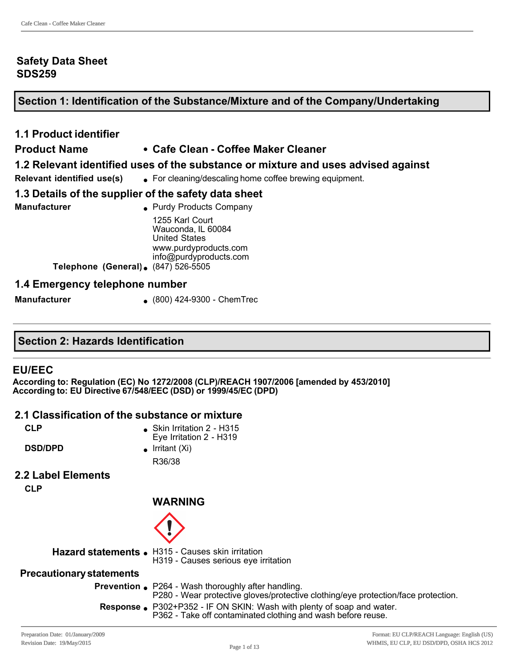#### **Safety Data Sheet SDS259**

## **Section 1: Identification of the Substance/Mixture and of the Company/Undertaking**

# **1.1 Product identifier**

#### **Product Name • Cafe Clean - Coffee Maker Cleaner**

#### **1.2 Relevant identified uses of the substance or mixture and uses advised against**

**Relevant identified use(s)** <br> **e** For cleaning/descaling home coffee brewing equipment.

#### **1.3 Details of the supplier of the safety data sheet**

**Manufacturer a** Purdy Products Company 1255 Karl Court Wauconda, IL 60084 United States www.purdyproducts.com info@purdyproducts.com **Telephone (General).** (847) 526-5505

#### **1.4 Emergency telephone number**

**Manufacturer** (800) 424-9300 - ChemTrec

#### **Section 2: Hazards Identification**

#### **EU/EEC**

**According to: Regulation (EC) No 1272/2008 (CLP)/REACH 1907/2006 [amended by 453/2010] According to: EU Directive 67/548/EEC (DSD) or 1999/45/EC (DPD)** 

#### **2.1 Classification of the substance or mixture**

| ۰. |  |
|----|--|
|----|--|

**Skin Irritation 2 - H315** Eye Irritation 2 - H319

**DSD/DPD a** Irritant (Xi) R36/38

# **2.2 Label Elements**

**CLP**

## **WARNING**



**Hazard statements .** H315 - Causes skin irritation

H319 - Causes serious eye irritation

#### **Precautionary statements**

**Prevention e** P264 - Wash thoroughly after handling. P280 - Wear protective gloves/protective clothing/eye protection/face protection. **Response P** P302+P352 - IF ON SKIN: Wash with plenty of soap and water. P362 - Take off contaminated clothing and wash before reuse.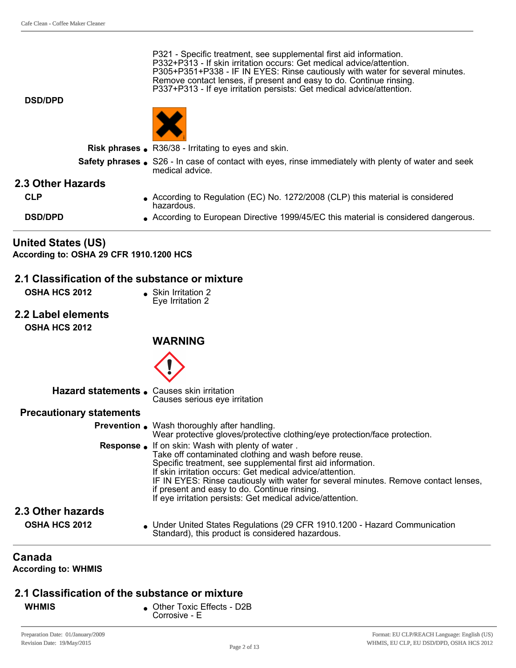P321 - Specific treatment, see supplemental first aid information. P332+P313 - If skin irritation occurs: Get medical advice/attention. P305+P351+P338 IF IN EYES: Rinse cautiously with water for several minutes. Remove contact lenses, if present and easy to do. Continue rinsing. P337+P313 If eye irritation persists: Get medical advice/attention.

**DSD/DPD**



**Risk phrases** . R36/38 - Irritating to eyes and skin.

**Safety phrases** S26 - In case of contact with eyes, rinse immediately with plenty of water and seek medical advice.

#### **2.3 Other Hazards**

| CLP            | • According to Regulation (EC) No. 1272/2008 (CLP) this material is considered<br>hazardous. |
|----------------|----------------------------------------------------------------------------------------------|
| <b>DSD/DPD</b> | According to European Directive 1999/45/EC this material is considered dangerous.            |

# **United States (US)**

**According to: OSHA 29 CFR 1910.1200 HCS**

#### **2.1 Classification of the substance or mixture**

- **OSHA HCS 2012 a** Skin Irritation 2
	- Eye Irritation 2
- **2.2 Label elements OSHA HCS 2012**

#### **WARNING**



#### **Hazard statements.** Causes skin irritation Causes serious eye irritation

#### **Precautionary statements**

**Prevention** . Wash thoroughly after handling. Wear protective gloves/protective clothing/eye protection/face protection. **Response.** If on skin: Wash with plenty of water . Take off contaminated clothing and wash before reuse. Specific treatment, see supplemental first aid information. If skin irritation occurs: Get medical advice/attention. IF IN EYES: Rinse cautiously with water for several minutes. Remove contact lenses, if present and easy to do. Continue rinsing. If eye irritation persists: Get medical advice/attention.

# **2.3 Other hazards**

**OSHA HCS 2012 IDED A Under United States Regulations (29 CFR 1910.1200 - Hazard Communication** Standard), this product is considered hazardous.

#### **Canada**

**According to: WHMIS** 

#### **2.1 Classification of the substance or mixture**

- 
- **WHMIS o** Other Toxic Effects D2B Corrosive - E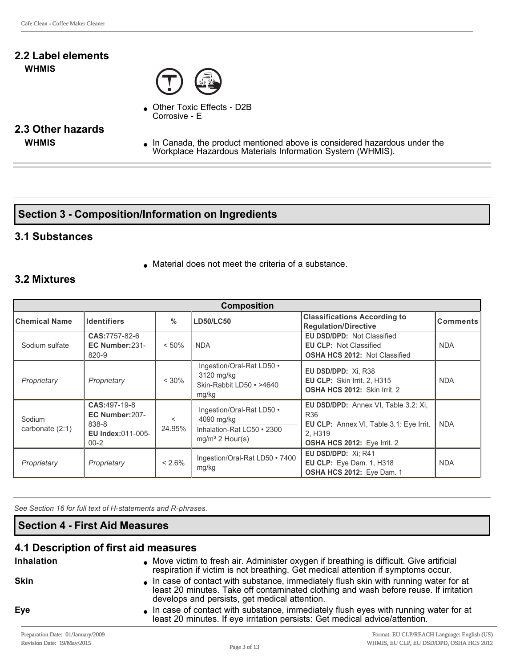#### **2.2 Label elements WHMIS**



Other Toxic Effects - D2B Corrosive - E

# **2.3 Other hazards**

**WHMIS ID IN** Canada, the product mentioned above is considered hazardous under the Workplace Hazardous Materials Information System (WHMIS).

#### **Section 3 Composition/Information on Ingredients**

#### **3.1 Substances**

 $\bullet$  Material does not meet the criteria of a substance.

#### **3.2 Mixtures**

| <b>Composition</b>          |                                                                                   |                   |                                                                                            |                                                                                                                                  |                 |
|-----------------------------|-----------------------------------------------------------------------------------|-------------------|--------------------------------------------------------------------------------------------|----------------------------------------------------------------------------------------------------------------------------------|-----------------|
| <b>Chemical Name</b>        | <b>Identifiers</b>                                                                | $\%$              | <b>LD50/LC50</b>                                                                           | <b>Classifications According to</b><br><b>Regulation/Directive</b>                                                               | <b>Comments</b> |
| Sodium sulfate              | CAS:7757-82-6<br>EC Number:231-<br>820-9                                          | $< 50\%$          | <b>NDA</b>                                                                                 | <b>EU DSD/DPD: Not Classified</b><br><b>EU CLP: Not Classified</b><br><b>OSHA HCS 2012: Not Classified</b>                       | <b>NDA</b>      |
| Proprietary                 | Proprietary                                                                       | $< 30\%$          | Ingestion/Oral-Rat LD50 •<br>3120 mg/kg<br>Skin-Rabbit LD50 • >4640<br>mg/kg               | EU DSD/DPD: Xi, R38<br><b>EU CLP: Skin Irrit. 2. H315</b><br>OSHA HCS 2012: Skin Irrit. 2                                        | <b>NDA</b>      |
| Sodium<br>carbonate $(2:1)$ | CAS: 497-19-8<br>EC Number: 207-<br>838-8<br><b>EU Index:011-005-</b><br>$00 - 2$ | $\prec$<br>24.95% | Ingestion/Oral-Rat LD50 •<br>4090 mg/kg<br>Inhalation-Rat LC50 • 2300<br>$mq/m3$ 2 Hour(s) | EU DSD/DPD: Annex VI, Table 3.2: Xi,<br>R36<br>EU CLP: Annex VI, Table 3.1: Eye Irrit.<br>2. H319<br>OSHA HCS 2012: Eye Irrit. 2 | <b>NDA</b>      |
| Proprietary                 | Proprietary                                                                       | $< 2.6\%$         | Ingestion/Oral-Rat LD50 • 7400<br>mg/kg                                                    | EU DSD/DPD: Xi; R41<br>EU CLP: Eye Dam. 1, H318<br>OSHA HCS 2012: Eye Dam. 1                                                     | <b>NDA</b>      |

See Section 16 for full text of H-statements and R-phrases.

#### **Section 4 First Aid Measures**

#### **4.1 Description of first aid measures**

| <b>Inhalation</b> | • Move victim to fresh air. Administer oxygen if breathing is difficult. Give artificial<br>respiration if victim is not breathing. Get medical attention if symptoms occur.                                                  |
|-------------------|-------------------------------------------------------------------------------------------------------------------------------------------------------------------------------------------------------------------------------|
| <b>Skin</b>       | In case of contact with substance, immediately flush skin with running water for at<br>least 20 minutes. Take off contaminated clothing and wash before reuse. If irritation<br>develops and persists, get medical attention. |
| <b>Eye</b>        | In case of contact with substance, immediately flush eyes with running water for at<br>least 20 minutes. If eye irritation persists: Get medical advice/attention.                                                            |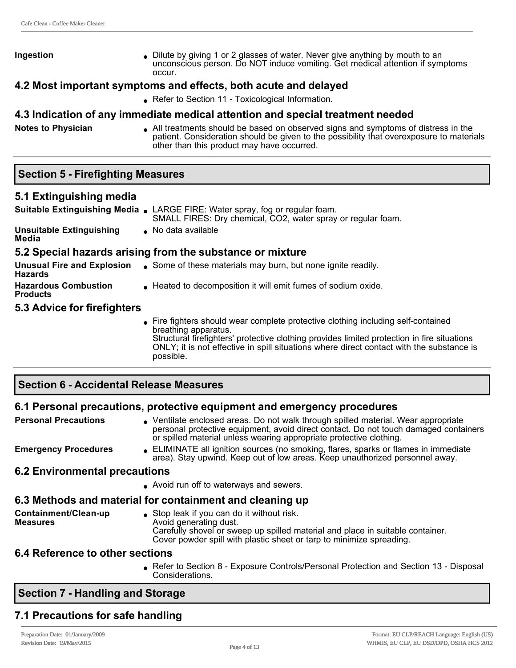**Ingestion lightly** Dilute by giving 1 or 2 glasses of water. Never give anything by mouth to an unconscious person. Do NOT induce vomiting. Get medical attention if symptoms occur.

#### **4.2 Most important symptoms and effects, both acute and delayed**

• Refer to Section 11 - Toxicological Information.

#### **4.3 Indication of any immediate medical attention and special treatment needed**

**Notes to Physician a** All treatments should be based on observed signs and symptoms of distress in the patient. Consideration should be given to the possibility that overexposure to materials other than this product may have occurred.

#### **Section 5 Firefighting Measures**

#### **5.1 Extinguishing media**

|                                                | Suitable Extinguishing Media . LARGE FIRE: Water spray, fog or regular foam.<br>SMALL FIRES: Dry chemical, CO2, water spray or regular foam.                                                            |
|------------------------------------------------|---------------------------------------------------------------------------------------------------------------------------------------------------------------------------------------------------------|
| <b>Unsuitable Extinguishing</b><br>Media       | No data available                                                                                                                                                                                       |
|                                                | 5.2 Special hazards arising from the substance or mixture                                                                                                                                               |
| <b>Hazards</b>                                 | <b>Unusual Fire and Explosion</b> • Some of these materials may burn, but none ignite readily.                                                                                                          |
| <b>Hazardous Combustion</b><br><b>Products</b> | ■ Heated to decomposition it will emit fumes of sodium oxide.                                                                                                                                           |
| 5.3 Advice for firefighters                    |                                                                                                                                                                                                         |
|                                                | Fire fighters should wear complete protective clothing including self-contained<br>breathing apparatus.<br>Structural firefighters' protective elething provides limited protection in fire situations. |

protective clothing provides limited protection in fire situations ONLY; it is not effective in spill situations where direct contact with the substance is possible.

#### **Section 6 Accidental Release Measures**

#### **6.1 Personal precautions, protective equipment and emergency procedures**

| <b>Personal Precautions</b>          | • Ventilate enclosed areas. Do not walk through spilled material. Wear appropriate<br>personal protective equipment, avoid direct contact. Do not touch damaged containers<br>or spilled material unless wearing appropriate protective clothing. |
|--------------------------------------|---------------------------------------------------------------------------------------------------------------------------------------------------------------------------------------------------------------------------------------------------|
| <b>Emergency Procedures</b>          | • ELIMINATE all ignition sources (no smoking, flares, sparks or flames in immediate<br>area). Stay upwind. Keep out of low areas. Keep unauthorized personnel away.                                                                               |
| <b>6.2 Environmental precautions</b> |                                                                                                                                                                                                                                                   |
|                                      | • Avoid run off to waterways and sewers.                                                                                                                                                                                                          |

#### **6.3 Methods and material for containment and cleaning up**

**Containment/Clean-up Measures**  $\bullet$  Stop leak if you can do it without risk. Avoid generating dust. Carefully shovel or sweep up spilled material and place in suitable container. Cover powder spill with plastic sheet or tarp to minimize spreading.

#### **6.4 Reference to other sections**

• Refer to Section 8 - Exposure Controls/Personal Protection and Section 13 - Disposal Considerations.

#### **Section 7 Handling and Storage**

# **7.1 Precautions for safe handling**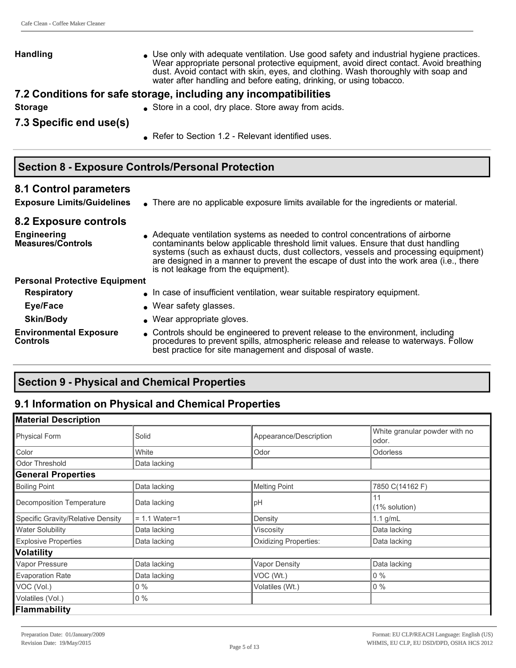| <b>Handling</b>         | • Use only with adequate ventilation. Use good safety and industrial hygiene practices.<br>Wear appropriate personal protective equipment, avoid direct contact. Avoid breathing<br>dust. Avoid contact with skin, eyes, and clothing. Wash thoroughly with soap and<br>water after handling and before eating, drinking, or using tobacco. |
|-------------------------|---------------------------------------------------------------------------------------------------------------------------------------------------------------------------------------------------------------------------------------------------------------------------------------------------------------------------------------------|
|                         | 7.2 Conditions for safe storage, including any incompatibilities                                                                                                                                                                                                                                                                            |
| <b>Storage</b>          | • Store in a cool, dry place. Store away from acids.                                                                                                                                                                                                                                                                                        |
| 7.3 Specific end use(s) |                                                                                                                                                                                                                                                                                                                                             |
|                         | ● Refer to Section 1.2 - Relevant identified uses.                                                                                                                                                                                                                                                                                          |
|                         |                                                                                                                                                                                                                                                                                                                                             |
|                         | <b>Section 8 - Exposure Controls/Personal Protection</b>                                                                                                                                                                                                                                                                                    |

# **8.1 Control parameters**

**Exposure Limits/Guidelines** • There are no applicable exposure limits available for the ingredients or material.

#### **8.2 Exposure controls**

**Environmental Exposure** 

**Controls**

| <b>Engineering</b><br><b>Measures/Controls</b> | Adequate ventilation systems as needed to control concentrations of airborne<br>contaminants below applicable threshold limit values. Ensure that dust handling<br>systems (such as exhaust ducts, dust collectors, vessels and processing equipment)<br>are designed in a manner to prevent the escape of dust into the work area (i.e., there<br>is not leakage from the equipment). |
|------------------------------------------------|----------------------------------------------------------------------------------------------------------------------------------------------------------------------------------------------------------------------------------------------------------------------------------------------------------------------------------------------------------------------------------------|
| <b>Personal Protective Equipment</b>           |                                                                                                                                                                                                                                                                                                                                                                                        |
| <b>Respiratory</b>                             | . In case of insufficient ventilation, wear suitable respiratory equipment.                                                                                                                                                                                                                                                                                                            |
| Eye/Face                                       | • Wear safety glasses.                                                                                                                                                                                                                                                                                                                                                                 |
| <b>Skin/Body</b>                               | • Wear appropriate gloves.                                                                                                                                                                                                                                                                                                                                                             |

• Controls should be engineered to prevent release to the environment, including procedures to prevent spills, atmospheric release and release to waterways. Follow best practice for site management and disposal of waste.

## **Section 9 Physical and Chemical Properties**

# **9.1 Information on Physical and Chemical Properties**

| <b>Material Description</b>       |                 |                              |                                        |
|-----------------------------------|-----------------|------------------------------|----------------------------------------|
| <b>Physical Form</b>              | Solid           | Appearance/Description       | White granular powder with no<br>odor. |
| Color                             | White           | Odor                         | Odorless                               |
| Odor Threshold                    | Data lacking    |                              |                                        |
| <b>General Properties</b>         |                 |                              |                                        |
| <b>Boiling Point</b>              | Data lacking    | <b>Melting Point</b>         | 7850 C(14162 F)                        |
| Decomposition Temperature         | Data lacking    | pH                           | 11<br>(1% solution)                    |
| Specific Gravity/Relative Density | $= 1.1$ Water=1 | Density                      | 1.1 $g/mL$                             |
| <b>Water Solubility</b>           | Data lacking    | Viscosity                    | Data lacking                           |
| <b>Explosive Properties</b>       | Data lacking    | <b>Oxidizing Properties:</b> | Data lacking                           |
| <b>Volatility</b>                 |                 |                              |                                        |
| Vapor Pressure                    | Data lacking    | <b>Vapor Density</b>         | Data lacking                           |
| <b>Evaporation Rate</b>           | Data lacking    | VOC (Wt.)                    | $0\%$                                  |
| VOC (Vol.)                        | $0\%$           | Volatiles (Wt.)              | $0\%$                                  |
| Volatiles (Vol.)                  | $0\%$           |                              |                                        |
| Flammability                      |                 |                              |                                        |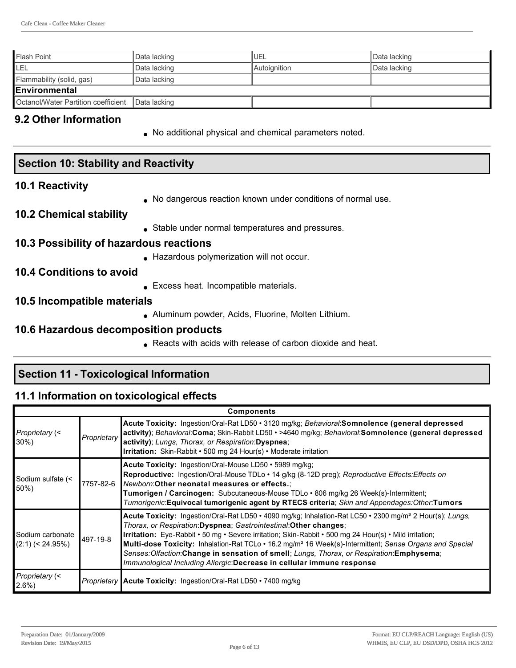| l Flash Point                                      | Data lacking | <b>IUEL</b>  | Data lacking |
|----------------------------------------------------|--------------|--------------|--------------|
| LEL                                                | Data lacking | Autoignition | Data lacking |
| Flammability (solid, gas)                          | Data lacking |              |              |
| <b>Environmental</b>                               |              |              |              |
| Octanol/Water Partition coefficient   Data lacking |              |              |              |

#### **9.2 Other Information**

• No additional physical and chemical parameters noted.

| <b>Section 10: Stability and Reactivity</b> |                                                               |  |
|---------------------------------------------|---------------------------------------------------------------|--|
| <b>10.1 Reactivity</b>                      |                                                               |  |
| <b>10.2 Chemical stability</b>              | • No dangerous reaction known under conditions of normal use. |  |

• Stable under normal temperatures and pressures.

#### **10.3 Possibility of hazardous reactions**

**Hazardous polymerization will not occur.** 

#### **10.4 Conditions to avoid**

**Excess heat. Incompatible materials.** 

#### **10.5 Incompatible materials**

• Aluminum powder, Acids, Fluorine, Molten Lithium.

#### **10.6 Hazardous decomposition products**

• Reacts with acids with release of carbon dioxide and heat.

## **Section 11 Toxicological Information**

#### **11.1 Information on toxicological effects**

| <b>Components</b>                      |             |                                                                                                                                                                                                                                                                                                                                                                                                                                                                                                                                                                                                   |  |
|----------------------------------------|-------------|---------------------------------------------------------------------------------------------------------------------------------------------------------------------------------------------------------------------------------------------------------------------------------------------------------------------------------------------------------------------------------------------------------------------------------------------------------------------------------------------------------------------------------------------------------------------------------------------------|--|
| Proprietary (<<br>$30\%$               | Proprietary | Acute Toxicity: Ingestion/Oral-Rat LD50 • 3120 mg/kg; Behavioral:Somnolence (general depressed<br>activity); Behavioral:Coma; Skin-Rabbit LD50 · >4640 mg/kg; Behavioral:Somnolence (general depressed<br>activity); Lungs, Thorax, or Respiration:Dyspnea;<br>Irritation: Skin-Rabbit • 500 mg 24 Hour(s) • Moderate irritation                                                                                                                                                                                                                                                                  |  |
| Sodium sulfate (<<br>50%)              | 7757-82-6   | Acute Toxicity: Ingestion/Oral-Mouse LD50 • 5989 mg/kg;<br>Reproductive: Ingestion/Oral-Mouse TDLo · 14 g/kg (8-12D preg); Reproductive Effects: Effects on<br>Newborn: Other neonatal measures or effects.:<br><b>Tumorigen / Carcinogen:</b> Subcutaneous-Mouse TDLo • 806 mg/kg 26 Week(s)-Intermittent;<br>Tumorigenic:Equivocal tumorigenic agent by RTECS criteria; Skin and Appendages:Other:Tumors                                                                                                                                                                                        |  |
| Sodium carbonate<br>$(2:1)$ (< 24.95%) | 497-19-8    | Acute Toxicity: Ingestion/Oral-Rat LD50 • 4090 mg/kg; Inhalation-Rat LC50 • 2300 mg/m <sup>3</sup> 2 Hour(s); Lungs,<br>Thorax, or Respiration: Dyspnea; Gastrointestinal: Other changes;<br>Irritation: Eye-Rabbit • 50 mg • Severe irritation; Skin-Rabbit • 500 mg 24 Hour(s) • Mild irritation;<br>Multi-dose Toxicity: Inhalation-Rat TCLo • 16.2 mg/m <sup>3</sup> 16 Week(s)-Intermittent; Sense Organs and Special<br>Senses: Olfaction: Change in sensation of smell; Lungs, Thorax, or Respiration: Emphysema;<br>Immunological Including Allergic:Decrease in cellular immune response |  |
| Proprietary (<<br>$2.6\%$              |             | Proprietary   Acute Toxicity: Ingestion/Oral-Rat LD50 · 7400 mg/kg                                                                                                                                                                                                                                                                                                                                                                                                                                                                                                                                |  |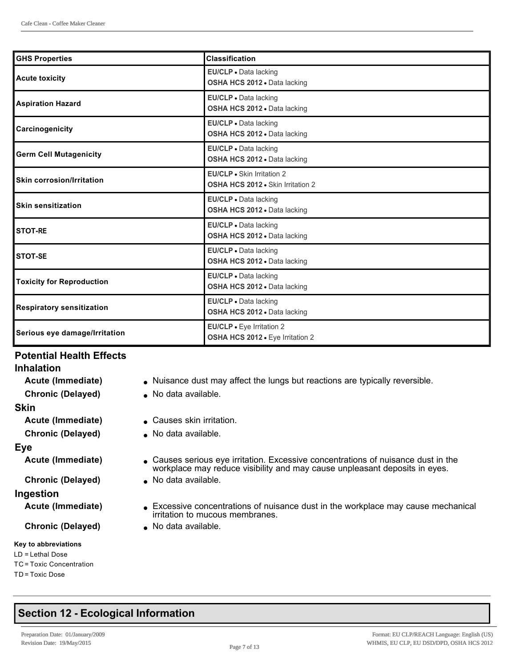| <b>GHS Properties</b>            | <b>Classification</b>                                           |
|----------------------------------|-----------------------------------------------------------------|
| <b>Acute toxicity</b>            | EU/CLP . Data lacking<br>OSHA HCS 2012 · Data lacking           |
| Aspiration Hazard                | EU/CLP . Data lacking<br>OSHA HCS 2012 . Data lacking           |
| Carcinogenicity                  | EU/CLP . Data lacking<br>OSHA HCS 2012 . Data lacking           |
| <b>Germ Cell Mutagenicity</b>    | EU/CLP . Data lacking<br>OSHA HCS 2012 . Data lacking           |
| <b>Skin corrosion/Irritation</b> | EU/CLP · Skin Irritation 2<br>OSHA HCS 2012 . Skin Irritation 2 |
| <b>Skin sensitization</b>        | EU/CLP . Data lacking<br>OSHA HCS 2012 . Data lacking           |
| <b>STOT-RE</b>                   | EU/CLP . Data lacking<br>OSHA HCS 2012 . Data lacking           |
| <b>STOT-SE</b>                   | EU/CLP . Data lacking<br>OSHA HCS 2012 . Data lacking           |
| <b>Toxicity for Reproduction</b> | EU/CLP . Data lacking<br>OSHA HCS 2012 . Data lacking           |
| <b>Respiratory sensitization</b> | EU/CLP . Data lacking<br>OSHA HCS 2012 . Data lacking           |
| Serious eye damage/Irritation    | EU/CLP · Eye Irritation 2<br>OSHA HCS 2012 . Eye Irritation 2   |

#### **Potential Health Effects**

# **Inhalation**

| <b>Chronic (Delayed)</b> |
|--------------------------|
| Skin                     |
| Acute (Immediate)        |
| <b>Chronic (Delayed)</b> |
| Eye                      |
| Acute (Immediate)        |
|                          |

#### **Ingestion**

#### **Key to abbreviations**

#### LD = Lethal Dose TC = Toxic Concentration TD = Toxic Dose

- Acute (Immediate) **Interpretiate** Nuisance dust may affect the lungs but reactions are typically reversible.
	- **No data available.**
	- **ACCAUSES SKIN Irritation.**
	- **No data available.**
	- **Causes serious eye irritation. Excessive concentrations of nuisance dust in the** workplace may reduce visibility and may cause unpleasant deposits in eyes.
- **Chronic (Delayed)** . No data available.
- Acute (Immediate) **Excessive concentrations of nuisance dust in the workplace may cause mechanical** irritation to mucous membranes.
- **Chronic (Delayed)** . No data available.

# **Section 12 Ecological Information**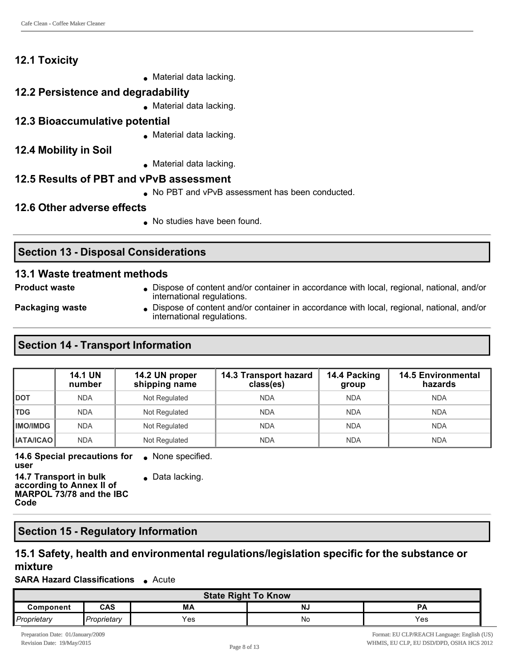## **12.1 Toxicity**

 $\bullet$  Material data lacking.

#### **12.2 Persistence and degradability**

 $\bullet$  Material data lacking.

#### **12.3 Bioaccumulative potential**

 $\bullet$  Material data lacking.

#### **12.4 Mobility in Soil**

 $\bullet$  Material data lacking.

# **12.5 Results of PBT and vPvB assessment**

• No PBT and vPvB assessment has been conducted.

#### **12.6 Other adverse effects**

. No studies have been found.

# **Section 13 - Disposal Considerations**

#### **13.1 Waste treatment methods**

**Product waste label in Dispose of content and/or container in accordance with local, regional, national, and/or** international regulations.

**Packaging waste label Dispose of content and/or container in accordance with local, regional, national, and/or** international regulations.

## **Section 14 - Transport Information**

|                  | <b>14.1 UN</b><br>number | 14.2 UN proper<br>shipping name | 14.3 Transport hazard<br>class(es) | 14.4 Packing<br>group | <b>14.5 Environmental</b><br>hazards |
|------------------|--------------------------|---------------------------------|------------------------------------|-----------------------|--------------------------------------|
| <b>DOT</b>       | <b>NDA</b>               | Not Regulated                   | <b>NDA</b>                         | <b>NDA</b>            | <b>NDA</b>                           |
| <b>TDG</b>       | <b>NDA</b>               | Not Regulated                   | <b>NDA</b>                         | <b>NDA</b>            | <b>NDA</b>                           |
| <b>IMO/IMDG</b>  | <b>NDA</b>               | Not Regulated                   | <b>NDA</b>                         | <b>NDA</b>            | <b>NDA</b>                           |
| <b>IATA/ICAO</b> | <b>NDA</b>               | Not Regulated                   | <b>NDA</b>                         | <b>NDA</b>            | <b>NDA</b>                           |

**14.6 Special precautions for user**  $\bullet$  None specified.

 $\bullet$  Data lacking.

**14.7 Transport in bulk according to Annex II of MARPOL 73/78 and the IBC Code**

#### **Section 15 Regulatory Information**

#### **15.1 Safety, health and environmental regulations/legislation specific for the substance or mixture**

#### **SARA Hazard Classifications** • Acute

| <b>State Right To Know</b> |                        |     |    |     |  |  |
|----------------------------|------------------------|-----|----|-----|--|--|
| Component                  | <b>CAS</b><br>МA<br>NJ |     |    |     |  |  |
| Proprietary                | Proprietary            | Yes | No | Yes |  |  |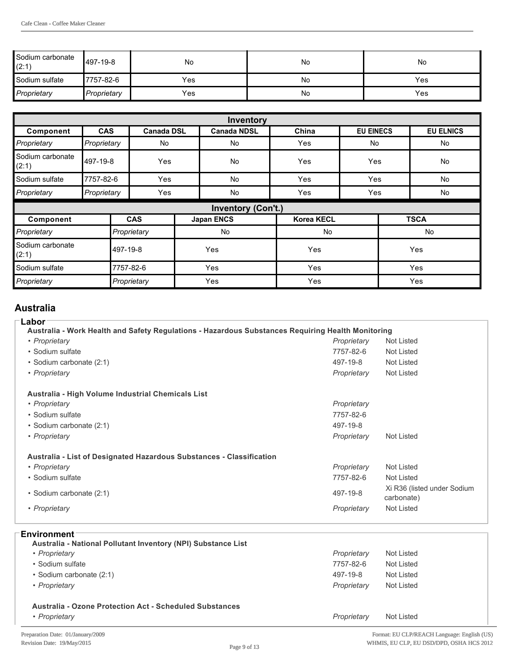| Sodium carbonate<br>(2:1) | 497-19-8    | No  | No | No  |
|---------------------------|-------------|-----|----|-----|
| Sodium sulfate            | 7757-82-6   | Yes | No | Yes |
| Proprietary               | Proprietary | Yes | No | Yes |

|                           | Inventory   |                   |     |                           |                   |                  |           |                  |  |  |
|---------------------------|-------------|-------------------|-----|---------------------------|-------------------|------------------|-----------|------------------|--|--|
| Component                 | <b>CAS</b>  | <b>Canada DSL</b> |     | <b>Canada NDSL</b>        | China             | <b>EU EINECS</b> |           | <b>EU ELNICS</b> |  |  |
| Proprietary               | Proprietary | No                |     | No                        | Yes               | <b>No</b>        |           | No               |  |  |
| Sodium carbonate<br>(2:1) | 497-19-8    | Yes               |     | <b>No</b>                 | Yes               | Yes              |           | <b>No</b>        |  |  |
| Sodium sulfate            | 7757-82-6   | Yes               |     | <b>No</b>                 | Yes               |                  | Yes<br>No |                  |  |  |
| Proprietary               | Proprietary | Yes               |     | No                        | Yes               | Yes              |           | No               |  |  |
|                           |             |                   |     | <b>Inventory (Con't.)</b> |                   |                  |           |                  |  |  |
| Component                 |             | <b>CAS</b>        |     | <b>Japan ENCS</b>         | <b>Korea KECL</b> |                  |           | <b>TSCA</b>      |  |  |
| Proprietary               |             | Proprietary       |     | <b>No</b>                 | <b>No</b>         |                  |           | No               |  |  |
| Sodium carbonate<br>(2:1) |             | 497-19-8          | Yes |                           |                   |                  | Yes       | Yes              |  |  |
| Sodium sulfate            |             | 7757-82-6         |     | Yes                       | Yes               |                  | Yes       |                  |  |  |
| Proprietary               |             | Proprietary       |     | Yes                       | Yes               |                  |           | Yes              |  |  |

#### **Australia**

#### **Labor**

| Lunvi<br>Australia - Work Health and Safety Regulations - Hazardous Substances Requiring Health Monitoring |             |                                           |
|------------------------------------------------------------------------------------------------------------|-------------|-------------------------------------------|
| • Proprietary                                                                                              | Proprietary | Not Listed                                |
| • Sodium sulfate                                                                                           | 7757-82-6   | Not Listed                                |
| • Sodium carbonate (2:1)                                                                                   | 497-19-8    | Not Listed                                |
| • Proprietary                                                                                              | Proprietary | Not Listed                                |
| Australia - High Volume Industrial Chemicals List                                                          |             |                                           |
| • Proprietary                                                                                              | Proprietary |                                           |
| • Sodium sulfate                                                                                           | 7757-82-6   |                                           |
| • Sodium carbonate (2:1)                                                                                   | 497-19-8    |                                           |
| • Proprietary                                                                                              | Proprietary | Not Listed                                |
| Australia - List of Designated Hazardous Substances - Classification                                       |             |                                           |
| • Proprietary                                                                                              | Proprietary | Not Listed                                |
| • Sodium sulfate                                                                                           | 7757-82-6   | Not Listed                                |
| • Sodium carbonate (2:1)                                                                                   | 497-19-8    | Xi R36 (listed under Sodium<br>carbonate) |
| • Proprietary                                                                                              | Proprietary | <b>Not Listed</b>                         |

| <b>Environment</b> |  |  |  |  |  |  |  |  |
|--------------------|--|--|--|--|--|--|--|--|
|                    |  |  |  |  |  |  |  |  |

| Australia - National Pollutant Inventory (NPI) Substance List                   |             |            |
|---------------------------------------------------------------------------------|-------------|------------|
| • Proprietary                                                                   | Proprietary | Not Listed |
| • Sodium sulfate                                                                | 7757-82-6   | Not Listed |
| • Sodium carbonate (2:1)                                                        | 497-19-8    | Not Listed |
| • Proprietary                                                                   | Proprietary | Not Listed |
| <b>Australia - Ozone Protection Act - Scheduled Substances</b><br>• Proprietary | Proprietary | Not Listed |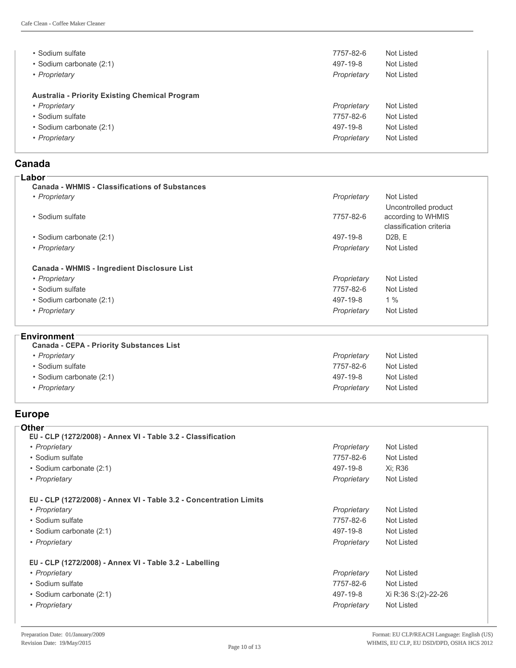| • Sodium sulfate<br>• Sodium carbonate (2:1)<br>• Proprietary | 7757-82-6<br>497-19-8<br>Proprietary | Not Listed<br>Not Listed<br><b>Not Listed</b> |
|---------------------------------------------------------------|--------------------------------------|-----------------------------------------------|
| <b>Australia - Priority Existing Chemical Program</b>         |                                      |                                               |
| • Proprietary                                                 | Proprietary                          | Not Listed                                    |
| • Sodium sulfate                                              | 7757-82-6                            | Not Listed                                    |
| • Sodium carbonate (2:1)                                      | 497-19-8                             | Not Listed                                    |
| • Proprietary                                                 | Proprietary                          | Not Listed                                    |

#### **Canada Labor**

| <b>Canada - WHMIS - Classifications of Substances</b> |             |                         |
|-------------------------------------------------------|-------------|-------------------------|
| • Proprietary                                         | Proprietary | Not Listed              |
|                                                       |             | Uncontrolled product    |
| • Sodium sulfate                                      | 7757-82-6   | according to WHMIS      |
|                                                       |             | classification criteria |
| • Sodium carbonate (2:1)                              | 497-19-8    | D2B.E                   |
| • Proprietary                                         | Proprietary | Not Listed              |
| <b>Canada - WHMIS - Ingredient Disclosure List</b>    |             |                         |
| • Proprietary                                         | Proprietary | Not Listed              |
| • Sodium sulfate                                      | 7757-82-6   | Not Listed              |
| • Sodium carbonate (2:1)                              | 497-19-8    | $1\%$                   |
| • Proprietary                                         | Proprietary | <b>Not Listed</b>       |

#### **Environment**

| <b>Canada - CEPA - Priority Substances List</b> |             |            |
|-------------------------------------------------|-------------|------------|
| • Proprietary                                   | Proprietary | Not Listed |
| • Sodium sulfate                                | 7757-82-6   | Not Listed |
| • Sodium carbonate (2:1)                        | 497-19-8    | Not Listed |
| • Proprietary                                   | Proprietary | Not Listed |

#### **Europe**

| <b>Other</b>                                                       |             |                     |
|--------------------------------------------------------------------|-------------|---------------------|
| EU - CLP (1272/2008) - Annex VI - Table 3.2 - Classification       |             |                     |
| • Proprietary                                                      | Proprietary | <b>Not Listed</b>   |
| • Sodium sulfate                                                   | 7757-82-6   | <b>Not Listed</b>   |
| • Sodium carbonate (2:1)                                           | 497-19-8    | Xi: R36             |
| • Proprietary                                                      | Proprietary | Not Listed          |
| EU - CLP (1272/2008) - Annex VI - Table 3.2 - Concentration Limits |             |                     |
| • Proprietary                                                      | Proprietary | <b>Not Listed</b>   |
| • Sodium sulfate                                                   | 7757-82-6   | <b>Not Listed</b>   |
| • Sodium carbonate (2:1)                                           | 497-19-8    | <b>Not Listed</b>   |
| • Proprietary                                                      | Proprietary | <b>Not Listed</b>   |
| EU - CLP (1272/2008) - Annex VI - Table 3.2 - Labelling            |             |                     |
| • Proprietary                                                      | Proprietary | <b>Not Listed</b>   |
| • Sodium sulfate                                                   | 7757-82-6   | <b>Not Listed</b>   |
| • Sodium carbonate (2:1)                                           | 497-19-8    | Xi R:36 S:(2)-22-26 |
| • Proprietary                                                      | Proprietary | <b>Not Listed</b>   |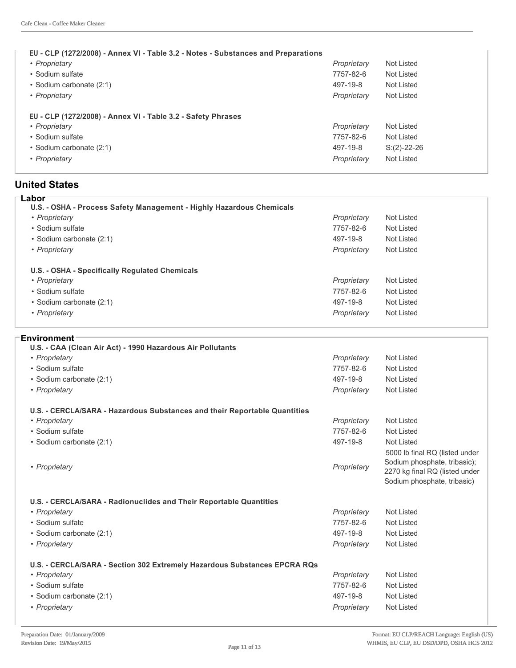#### **EU CLP (1272/2008) Annex VI Table 3.2 Notes Substances and Preparations**

| • Proprietary                                                                                     | Proprietary              | Not Listed               |
|---------------------------------------------------------------------------------------------------|--------------------------|--------------------------|
| • Sodium sulfate                                                                                  | 7757-82-6                | Not Listed               |
| • Sodium carbonate (2:1)                                                                          | 497-19-8                 | Not Listed               |
| • Proprietary                                                                                     | Proprietary              | Not Listed               |
| EU - CLP (1272/2008) - Annex VI - Table 3.2 - Safety Phrases<br>• Proprietary<br>• Sodium sulfate | Proprietary<br>7757-82-6 | Not Listed<br>Not Listed |

#### **United States**

| Labor                                                                |             |            |
|----------------------------------------------------------------------|-------------|------------|
| U.S. - OSHA - Process Safety Management - Highly Hazardous Chemicals |             |            |
| • Proprietary                                                        | Proprietary | Not Listed |
| • Sodium sulfate                                                     | 7757-82-6   | Not Listed |
| • Sodium carbonate (2:1)                                             | 497-19-8    | Not Listed |
| • Proprietary                                                        | Proprietary | Not Listed |
| U.S. - OSHA - Specifically Regulated Chemicals                       |             |            |
| • Proprietary                                                        | Proprietary | Not Listed |
| • Sodium sulfate                                                     | 7757-82-6   | Not Listed |
| • Sodium carbonate (2:1)                                             | 497-19-8    | Not Listed |
| • Proprietary                                                        | Proprietary | Not Listed |
|                                                                      |             |            |

#### **Environment**

| Proprietary | <b>Not Listed</b>                                                                                                               |
|-------------|---------------------------------------------------------------------------------------------------------------------------------|
| 7757-82-6   | <b>Not Listed</b>                                                                                                               |
| 497-19-8    | <b>Not Listed</b>                                                                                                               |
| Proprietary | <b>Not Listed</b>                                                                                                               |
|             |                                                                                                                                 |
| Proprietary | <b>Not Listed</b>                                                                                                               |
| 7757-82-6   | <b>Not Listed</b>                                                                                                               |
| 497-19-8    | <b>Not Listed</b>                                                                                                               |
| Proprietary | 5000 lb final RQ (listed under<br>Sodium phosphate, tribasic);<br>2270 kg final RQ (listed under<br>Sodium phosphate, tribasic) |
|             |                                                                                                                                 |
| Proprietary | <b>Not Listed</b>                                                                                                               |
| 7757-82-6   | <b>Not Listed</b>                                                                                                               |
| 497-19-8    | <b>Not Listed</b>                                                                                                               |
| Proprietary | Not Listed                                                                                                                      |
|             |                                                                                                                                 |
| Proprietary | <b>Not Listed</b>                                                                                                               |
|             |                                                                                                                                 |
| 7757-82-6   | <b>Not Listed</b>                                                                                                               |
| 497-19-8    | <b>Not Listed</b>                                                                                                               |
|             |                                                                                                                                 |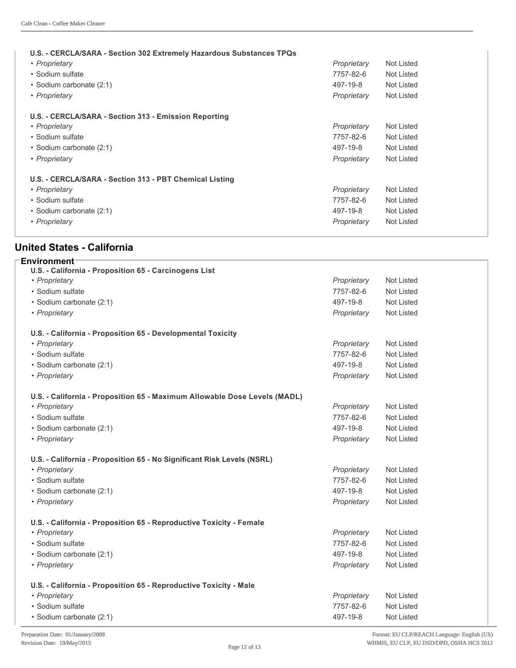| U.S. - CERCLA/SARA - Section 302 Extremely Hazardous Substances TPQs<br>• Proprietary<br>• Sodium sulfate<br>• Sodium carbonate (2:1)<br>• Proprietary | Proprietary<br>7757-82-6<br>497-19-8<br>Proprietary | Not Listed<br>Not Listed<br>Not Listed<br>Not Listed |
|--------------------------------------------------------------------------------------------------------------------------------------------------------|-----------------------------------------------------|------------------------------------------------------|
| U.S. - CERCLA/SARA - Section 313 - Emission Reporting                                                                                                  |                                                     |                                                      |
| • Proprietary                                                                                                                                          | Proprietary                                         | Not Listed                                           |
| • Sodium sulfate                                                                                                                                       | 7757-82-6                                           | Not Listed                                           |
| • Sodium carbonate (2:1)                                                                                                                               | 497-19-8                                            | Not Listed                                           |
| • Proprietary                                                                                                                                          | Proprietary                                         | Not Listed                                           |
| U.S. - CERCLA/SARA - Section 313 - PBT Chemical Listing<br>• Proprietary<br>• Sodium sulfate                                                           | Proprietary<br>7757-82-6                            | Not Listed<br>Not Listed                             |
| • Sodium carbonate (2:1)                                                                                                                               | 497-19-8                                            | Not Listed                                           |
| • Proprietary                                                                                                                                          | Proprietary                                         | Not Listed                                           |

#### **United States California**

| <b>Environment</b>                                                        |             |                   |  |
|---------------------------------------------------------------------------|-------------|-------------------|--|
| U.S. - California - Proposition 65 - Carcinogens List                     |             |                   |  |
| • Proprietary                                                             | Proprietary | <b>Not Listed</b> |  |
| • Sodium sulfate                                                          | 7757-82-6   | <b>Not Listed</b> |  |
| · Sodium carbonate (2:1)                                                  | 497-19-8    | <b>Not Listed</b> |  |
| • Proprietary                                                             | Proprietary | Not Listed        |  |
| U.S. - California - Proposition 65 - Developmental Toxicity               |             |                   |  |
| • Proprietary                                                             | Proprietary | <b>Not Listed</b> |  |
| • Sodium sulfate                                                          | 7757-82-6   | <b>Not Listed</b> |  |
| · Sodium carbonate (2:1)                                                  | 497-19-8    | <b>Not Listed</b> |  |
| • Proprietary                                                             | Proprietary | Not Listed        |  |
| U.S. - California - Proposition 65 - Maximum Allowable Dose Levels (MADL) |             |                   |  |
| • Proprietary                                                             | Proprietary | <b>Not Listed</b> |  |
| · Sodium sulfate                                                          | 7757-82-6   | <b>Not Listed</b> |  |
| · Sodium carbonate (2:1)                                                  | 497-19-8    | <b>Not Listed</b> |  |
| • Proprietary                                                             | Proprietary | <b>Not Listed</b> |  |
| U.S. - California - Proposition 65 - No Significant Risk Levels (NSRL)    |             |                   |  |
| • Proprietary                                                             | Proprietary | <b>Not Listed</b> |  |
| • Sodium sulfate                                                          | 7757-82-6   | <b>Not Listed</b> |  |
| · Sodium carbonate (2:1)                                                  | 497-19-8    | Not Listed        |  |
| • Proprietary                                                             | Proprietary | <b>Not Listed</b> |  |
| U.S. - California - Proposition 65 - Reproductive Toxicity - Female       |             |                   |  |
| • Proprietary                                                             | Proprietary | <b>Not Listed</b> |  |
| • Sodium sulfate                                                          | 7757-82-6   | <b>Not Listed</b> |  |
| · Sodium carbonate (2:1)                                                  | 497-19-8    | <b>Not Listed</b> |  |
| • Proprietary                                                             | Proprietary | Not Listed        |  |
| U.S. - California - Proposition 65 - Reproductive Toxicity - Male         |             |                   |  |
| • Proprietary                                                             | Proprietary | <b>Not Listed</b> |  |
| • Sodium sulfate                                                          | 7757-82-6   | <b>Not Listed</b> |  |
| · Sodium carbonate (2:1)                                                  | 497-19-8    | <b>Not Listed</b> |  |